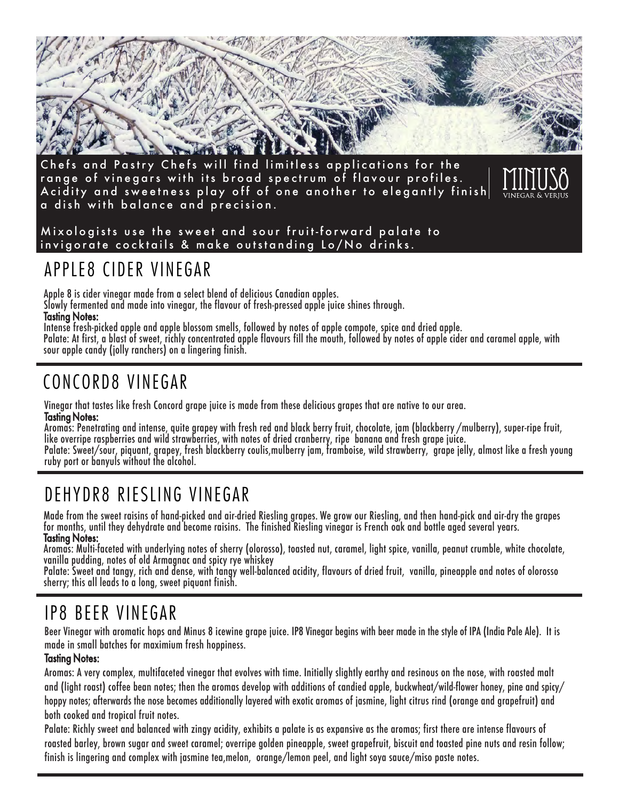

Chefs and Pastry Chefs will find limitless applications for the range of vinegars with its broad spectrum of flavour profiles. Acidity and sweetness play off of one another to elegantly finish a dish with balance and precision.



#### Mixologists use the sweet and sour fruit-forward palate to invigorate cocktails & make outstanding Lo/No drinks.

#### APPLE8 CIDER VINEGAR

Apple 8 is cider vinegar made from a select blend of delicious Canadian apples.

Slowly fermented and made into vinegar, the flavour of fresh-pressed apple juice shines through.

#### Tasting Notes:

Intense fresh-picked apple and apple blossom smells, followed by notes of apple compote, spice and dried apple. Palate: At first, a blast of sweet, richly concentrated apple flavours fill the mouth, followed by notes of apple cider and caramel apple, with sour apple candy (jolly ranchers) on a lingering finish.

### CONCORD8 VINEGAR

Vinegar that tastes like fresh Concord grape juice is made from these delicious grapes that are native to our area. Tasting Notes:

Aromas: Penetrating and intense, quite grapey with fresh red and black berry fruit, chocolate, jam (blackberry /mulberry), super-ripe fruit, like overripe raspberries and wild strawberries, with notes of dried cranberry, ripe banana and fresh grape juice. Palate: Sweet/sour, piquant, grapey, fresh blackberry coulis,mulberry jam, framboise, wild strawberry, grape jelly, almost like a fresh young ruby port or banyuls without the alcohol.

## DEHYDR8 RIESLING VINEGAR

Made from the sweet raisins of hand-picked and air-dried Riesling grapes. We grow our Riesling, and then hand-pick and air-dry the grapes for months, until they dehydrate and become raisins. The finished Riesling vinegar is French oak and bottle aged several years. Tasting Notes:

Aromas: Multi-faceted with underlying notes of sherry (olorosso), toasted nut, caramel, light spice, vanilla, peanut crumble, white chocolate, vanilla pudding, notes of old Armagnac and spicy rye whiskey

Palate: Sweet and tangy, rich and dense, with tangy well-balanced acidity, flavours of dried fruit, vanilla, pineapple and notes of olorosso sherry; this all leads to a long, sweet piquant finish.

#### IP8 BEER VINEGAR

Beer Vinegar with aromatic hops and Minus 8 icewine grape juice. IP8 Vinegar begins with beer made in the style of IPA (India Pale Ale). It is made in small batches for maximium fresh hoppiness.

#### Tasting Notes:

Aromas: A very complex, multifaceted vinegar that evolves with time. Initially slightly earthy and resinous on the nose, with roasted malt and (light roast) coffee bean notes; then the aromas develop with additions of candied apple, buckwheat/wild-flower honey, pine and spicy/ hoppy notes; afterwards the nose becomes additionally layered with exotic aromas of jasmine, light citrus rind (orange and grapefruit) and both cooked and tropical fruit notes.

Palate: Richly sweet and balanced with zingy acidity, exhibits a palate is as expansive as the aromas; first there are intense flavours of roasted barley, brown sugar and sweet caramel; overripe golden pineapple, sweet grapefruit, biscuit and toasted pine nuts and resin follow; finish is lingering and complex with jasmine tea,melon, orange/lemon peel, and light soya sauce/miso paste notes.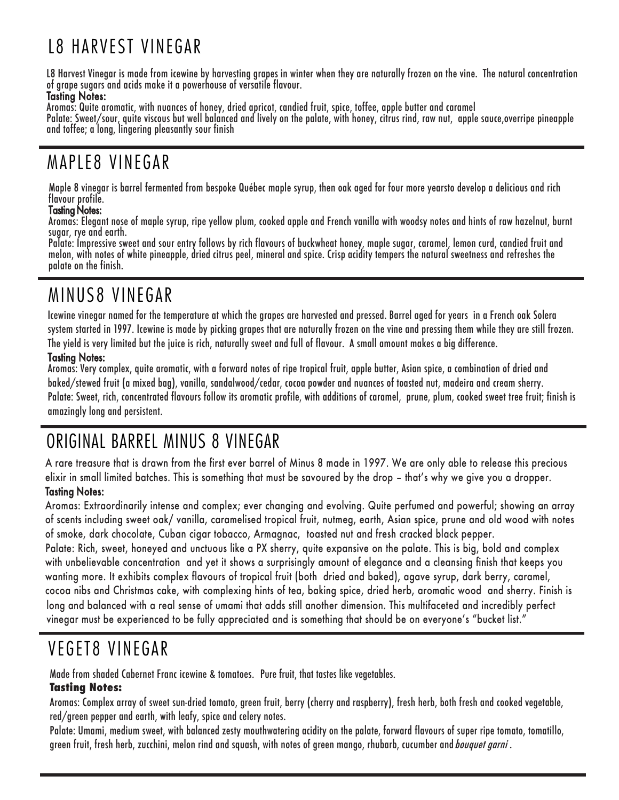# L8 HARVEST VINEGAR

L8 Harvest Vinegar is made from icewine by harvesting grapes in winter when they are naturally frozen on the vine. The natural concentration of grape sugars and acids make it a powerhouse of versatile flavour.

#### Tasting Notes:

Aromas: Quite aromatic, with nuances of honey, dried apricot, candied fruit, spice, toffee, apple butter and caramel

Palate: Sweet/sour, quite viscous but well balanced and lively on the palate, with honey, citrus rind, raw nut, apple sauce,overripe pineapple and toffee; a long, lingering pleasantly sour finish

#### MAPLE8 VINEGAR

Maple 8 vinegar is barrel fermented from bespoke Québec maple syrup, then oak aged for four more yearsto develop a delicious and rich flavour profile.

#### Tasting Notes:

Aromas: Elegant nose of maple syrup, ripe yellow plum, cooked apple and French vanilla with woodsy notes and hints of raw hazelnut, burnt sugar, rye and earth.

Palate: Impressive sweet and sour entry follows by rich flavours of buckwheat honey, maple sugar, caramel, lemon curd, candied fruit and melon, with notes of white pineapple, dried citrus peel, mineral and spice. Crisp acidity tempers the natural sweetness and refreshes the palate on the finish.

#### MINUS8 VINEGAR

Icewine vinegar named for the temperature at which the grapes are harvested and pressed. Barrel aged for years in a French oak Solera system started in 1997. Icewine is made by picking grapes that are naturally frozen on the vine and pressing them while they are still frozen. The yield is very limited but the juice is rich, naturally sweet and full of flavour. A small amount makes a big difference.

#### Tasting Notes:

Aromas: Very complex, quite aromatic, with a forward notes of ripe tropical fruit, apple butter, Asian spice, a combination of dried and baked/stewed fruit (a mixed bag), vanilla, sandalwood/cedar, cocoa powder and nuances of toasted nut, madeira and cream sherry. Palate: Sweet, rich, concentrated flavours follow its aromatic profile, with additions of caramel, prune, plum, cooked sweet tree fruit; finish is amazingly long and persistent.

#### ORIGINAL BARREL MINUS 8 VINEGAR

A rare treasure that is drawn from the first ever barrel of Minus 8 made in 1997. We are only able to release this precious elixir in small limited batches. This is something that must be savoured by the drop – that's why we give you a dropper.

#### Tasting Notes:

Aromas: Extraordinarily intense and complex; ever changing and evolving. Quite perfumed and powerful; showing an array of scents including sweet oak/ vanilla, caramelised tropical fruit, nutmeg, earth, Asian spice, prune and old wood with notes of smoke, dark chocolate, Cuban cigar tobacco, Armagnac, toasted nut and fresh cracked black pepper.

Palate: Rich, sweet, honeyed and unctuous like a PX sherry, quite expansive on the palate. This is big, bold and complex with unbelievable concentration and yet it shows a surprisingly amount of elegance and a cleansing finish that keeps you wanting more. It exhibits complex flavours of tropical fruit (both dried and baked), agave syrup, dark berry, caramel, cocoa nibs and Christmas cake, with complexing hints of tea, baking spice, dried herb, aromatic wood and sherry. Finish is long and balanced with a real sense of umami that adds still another dimension. This multifaceted and incredibly perfect vinegar must be experienced to be fully appreciated and is something that should be on everyone's "bucket list."

### VEGET8 VINEGAR

Made from shaded Cabernet Franc icewine & tomatoes. Pure fruit, that tastes like vegetables.

#### **Tasting Notes:**

Aromas: Complex array of sweet sun-dried tomato, green fruit, berry (cherry and raspberry), fresh herb, both fresh and cooked vegetable, red/green pepper and earth, with leafy, spice and celery notes.

Palate: Umami, medium sweet, with balanced zesty mouthwatering acidity on the palate, forward flavours of super ripe tomato, tomatillo, green fruit, fresh herb, zucchini, melon rind and squash, with notes of green mango, rhubarb, cucumber and bouquet garni.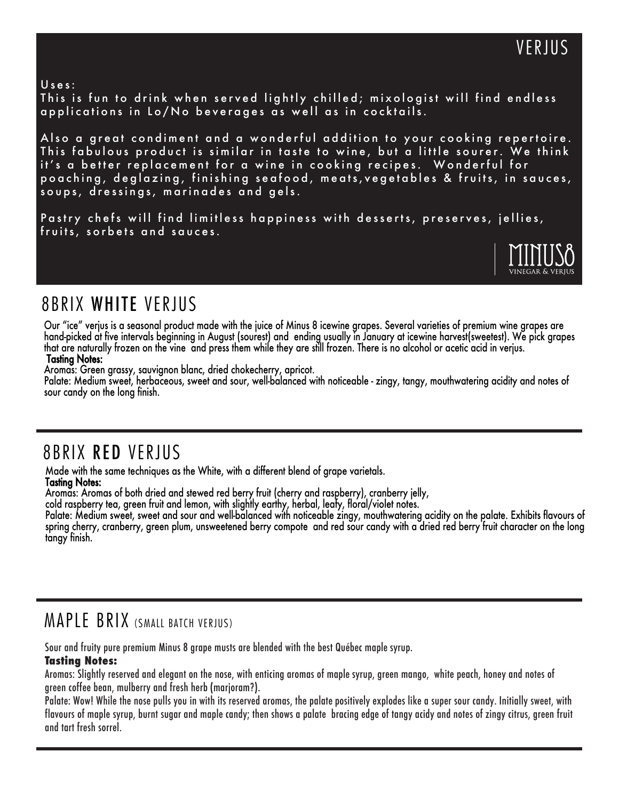#### Uses:

This is fun to drink when served lightly chilled; mixologist will find endless applications in Lo/No beverages as well as in cocktails.

Also a great condiment and a wonderful addition to your cooking repertoire. This fabulous product is similar in taste to wine, but a little sourer. We think it's a better replacement for a wine in cooking recipes. Wonderful for poaching, deglazing, finishing seafood, meats, vegetables & fruits, in sauces, soups, dressings, marinades and gels.

Pastry chefs will find limitless happiness with desserts, preserves, jellies, fruits, sorbets and sauces.



#### 8BRIX WHITE VERJUS

Our "ice" verjus is a seasonal product made with the juice of Minus 8 icewine grapes. Several varieties of premium wine grapes are hand-picked at five intervals beginning in August (sourest) and ending usually in January at icewine harvest(sweetest). We pick grapes that are naturally frozen on the vine and press them while they are still frozen. There is no alcohol or acetic acid in verjus. Tasting Notes:

Aromas: Green grassy, sauvignon blanc, dried chokecherry, apricot.

Palate: Medium sweet, herbaceous, sweet and sour, well-balanced with noticeable - zingy, tangy, mouthwatering acidity and notes of sour candy on the long finish.

#### 8BRIX RED VERJUS

Made with the same techniques as the White, with a different blend of grape varietals.

#### Tasting Notes:

Aromas: Aromas of both dried and stewed red berry fruit (cherry and raspberry), cranberry jelly,

cold raspberry tea, green fruit and lemon, with slightly earthy, herbal, leafy, floral/violet notes.

Palate: Medium sweet, sweet and sour and well-balanced with noticeable zingy, mouthwatering acidity on the palate. Exhibits flavours of spring cherry, cranberry, green plum, unsweetened berry compote and red sour candy with a dried red berry fruit character on the long tangy finish.

#### MAPLE BRIX (SMALL BATCH VERJUS)

Sour and fruity pure premium Minus 8 grape musts are blended with the best Québec maple syrup.

#### **Tasting Notes:**

Aromas: Slightly reserved and elegant on the nose, with enticing aromas of maple syrup, green mango, white peach, honey and notes of green coffee bean, mulberry and fresh herb (marjoram?).

Palate: Wow! While the nose pulls you in with its reserved aromas, the palate positively explodes like a super sour candy. Initially sweet, with flavours of maple syrup, burnt sugar and maple candy; then shows a palate bracing edge of tangy acidy and notes of zingy citrus, green fruit and tart fresh sorrel.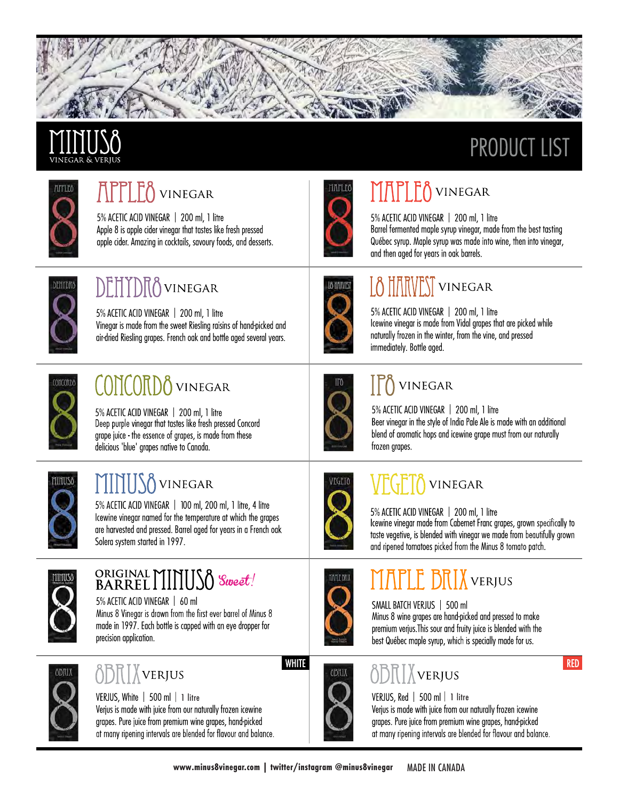

# **PRODUCT LIST**



# APPLE<sub>0</sub> VINEGAR

5% ACETIC ACID VINEGAR | 200 ml, 1 litre Apple 8 is apple cider vinegar that tastes like fresh pressed apple cider. Amazing in cocktails, savoury foods, and desserts.



# MAPLEO VINEGAR

5% ACETIC ACID VINEGAR | 200 ml, 1 litre Barrel fermented maple syrup vinegar, made from the best tasting Québec syrup. Maple syrup was made into wine, then into vinegar, and then aged for years in oak barrels.



## **DEHYDRO** VINEGAR

5% ACETIC ACID VINEGAR | 200 ml, 1 litre Vinegar is made from the sweet Riesling raisins of hand-picked and air-dried Riesling grapes. French oak and bottle aged several years.



### LÖ HÄRVEST VINEGAR

5% ACETIC ACID VINEGAR | 200 ml, 1 litre Icewine vinegar is made from Vidal grapes that are picked while naturally frozen in the winter, from the vine, and pressed immediately. Bottle aged.



# CONCORDO VINEGAR

5% ACETIC ACID VINEGAR | 200 ml, 1 litre Deep purple vinegar that tastes like fresh pressed Concord grape juice - the essence of grapes, is made from these delicious 'blue' grapes native to Canada.



## MMUS<sub>0</sub> VINEGAR

5% ACETIC ACID VINEGAR | 100 ml, 200 ml, 1 litre, 4 litre Icewine vinegar named for the temperature at which the grapes are harvested and pressed. Barrel aged for years in a French oak Solera system started in 1997.



# ORIGINAL MINUSO Sweet!

5% ACETIC ACID VINEGAR | 60 ml Minus 8 Vinegar is drawn from the first ever barrel of Minus 8 made in 1997. Each bottle is capped with an eye dropper for precision application.



# **ÖDILIX** VERJUS

VERJUS, White | 500 ml | 1 litre Verjus is made with juice from our naturally frozen icewine grapes. Pure juice from premium wine grapes, hand-picked at many ripening intervals are blended for flavour and balance.



#### **ITA** VINEGAR

5% ACETIC ACID VINEGAR | 200 ml, 1 litre Beer vinegar in the style of India Pale Ale is made with an additional blend of aromatic hops and icewine grape must from our naturally frozen grapes.



#### **VINEGAR**

5% ACETIC ACID VINEGAR | 200 ml, 1 litre Icewine vinegar made from Cabernet Franc grapes, grown specifically to taste vegetive, is blended with vinegar we made from beautifully grown and ripened tomatoes picked from the Minus 8 tomato patch.



**OBRIX** 

# MAPLE BRIX VERJUS

SMALL BATCH VERJUS | 500 ml Minus 8 wine grapes are hand-picked and pressed to make premium verjus. This sour and fruity juice is blended with the best Québec maple syrup, which is specially made for us.

# ÖDILXVERJUS





**WHITE**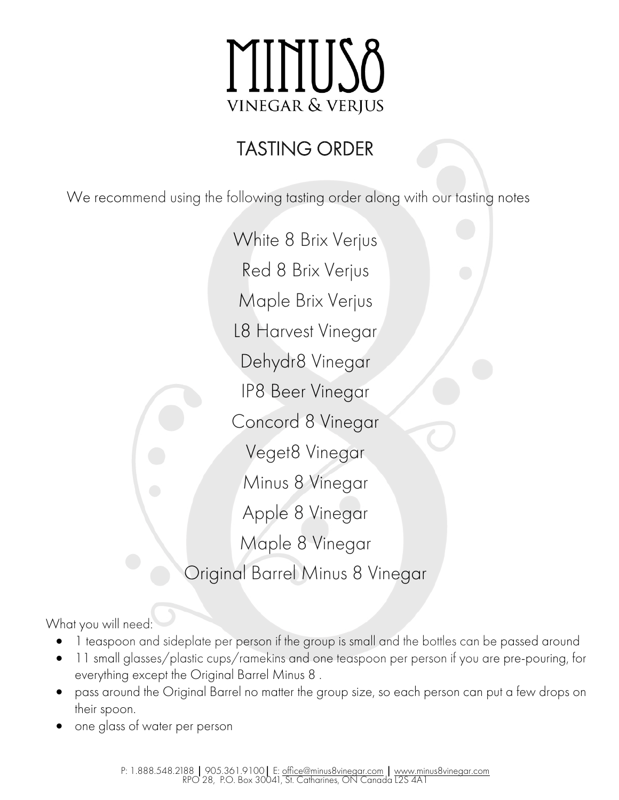# MINII! vinegar & verjus

# TASTING ORDER

We recommend using the following tasting order along with our tasting notes

White 8 Brix Verjus Red 8 Brix Verjus Maple Brix Verjus L8 Harvest Vinegar Dehydr8 Vinegar IP8 Beer Vinegar Concord 8 Vinegar Veget8 Vinegar Minus 8 Vinegar Apple 8 Vinegar Maple 8 Vinegar Original Barrel Minus 8 Vinegar

What you will need:

- 1 teaspoon and sideplate per person if the group is small and the bottles can be passed around
- 11 small glasses/plastic cups/ramekins and one teaspoon per person if you are pre-pouring, for everything except the Original Barrel Minus 8 .
- pass around the Original Barrel no matter the group size, so each person can put a few drops on their spoon.
- one glass of water per person